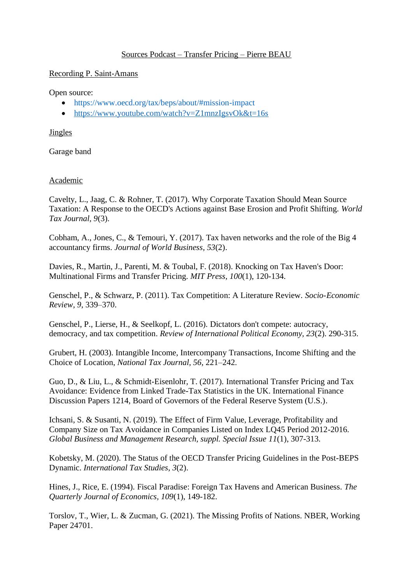# Sources Podcast – Transfer Pricing – Pierre BEAU

#### Recording P. Saint-Amans

#### Open source:

- <https://www.oecd.org/tax/beps/about/#mission-impact>
- <https://www.youtube.com/watch?v=Z1mnzIgsvOk&t=16s>

## **Jingles**

Garage band

## Academic

Cavelty, L., Jaag, C. & Rohner, T. (2017). Why Corporate Taxation Should Mean Source Taxation: A Response to the OECD's Actions against Base Erosion and Profit Shifting. *World Tax Journal, 9*(3).

Cobham, A., Jones, C., & Temouri, Y. (2017). Tax haven networks and the role of the Big 4 accountancy firms. *Journal of World Business, 53*(2).

Davies, R., Martin, J., Parenti, M. & Toubal, F. (2018). Knocking on Tax Haven's Door: Multinational Firms and Transfer Pricing. *MIT Press, 100*(1), 120-134.

Genschel, P., & Schwarz, P. (2011). Tax Competition: A Literature Review. *Socio-Economic Review, 9*, 339–370.

Genschel, P., Lierse, H., & Seelkopf, L. (2016). Dictators don't compete: autocracy, democracy, and tax competition. *Review of International Political Economy, 23*(2). 290-315.

Grubert, H. (2003). Intangible Income, Intercompany Transactions, Income Shifting and the Choice of Location, *National Tax Journal, 56*, 221–242.

Guo, D., & Liu, L., & Schmidt-Eisenlohr, T. (2017). International Transfer Pricing and Tax Avoidance: Evidence from Linked Trade-Tax Statistics in the UK. International Finance Discussion Papers 1214, Board of Governors of the Federal Reserve System (U.S.).

Ichsani, S. & Susanti, N. (2019). The Effect of Firm Value, Leverage, Profitability and Company Size on Tax Avoidance in Companies Listed on Index LQ45 Period 2012-2016. *[Global Business and Management Research, suppl. Special Issue](https://www-proquest-com.acces-distant.sciencespo.fr/pubidlinkhandler/sng/pubtitle/Global+Business+and+Management+Research/$N/696409/DocView/2236127570/fulltext/F5A90976C07F44F2PQ/1?accountid=13739) 11*(1), 307-313.

Kobetsky, M. (2020). The Status of the OECD Transfer Pricing Guidelines in the Post-BEPS Dynamic. *International Tax Studies, 3*(2).

Hines, J., Rice, E. (1994). Fiscal Paradise: Foreign Tax Havens and American Business. *The Quarterly Journal of Economics, 109*(1), 149-182.

Torslov, T., Wier, L. & Zucman, G. (2021). The Missing Profits of Nations. NBER, Working Paper 24701.